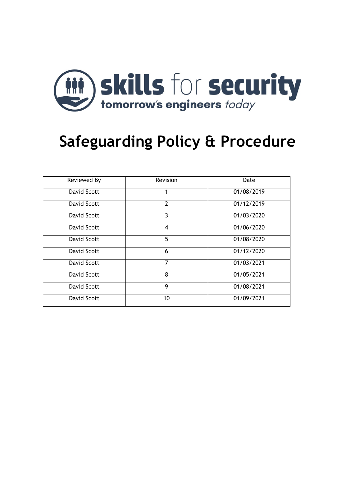

# **Safeguarding Policy & Procedure**

| Reviewed By        | Revision                | Date       |
|--------------------|-------------------------|------------|
| <b>David Scott</b> |                         | 01/08/2019 |
| <b>David Scott</b> | $\overline{2}$          | 01/12/2019 |
| David Scott        | 3                       | 01/03/2020 |
| David Scott        | $\overline{\mathbf{4}}$ | 01/06/2020 |
| David Scott        | 5                       | 01/08/2020 |
| David Scott        | 6                       | 01/12/2020 |
| David Scott        | 7                       | 01/03/2021 |
| David Scott        | 8                       | 01/05/2021 |
| David Scott        | 9                       | 01/08/2021 |
| <b>David Scott</b> | 10                      | 01/09/2021 |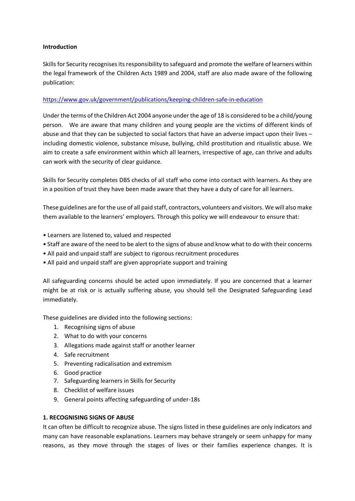## **Introduction**

Skills for Security recognises its responsibility to safeguard and promote the welfare of learners within the legal framework of the Children Acts 1989 and 2004, staff are also made aware of the following publication:

# <https://www.gov.uk/government/publications/keeping-children-safe-in-education>

Under the terms of the Children Act 2004 anyone under the age of 18 is considered to be a child/young person. We are aware that many children and young people are the victims of different kinds of abuse and that they can be subjected to social factors that have an adverse impact upon their lives – including domestic violence, substance misuse, bullying, child prostitution and ritualistic abuse. We aim to create a safe environment within which all learners, irrespective of age, can thrive and adults can work with the security of clear guidance.

Skills for Security completes DBS checks of all staff who come into contact with learners. As they are in a position of trust they have been made aware that they have a duty of care for all learners.

These guidelines are for the use of all paid staff, contractors, volunteers and visitors. We will also make them available to the learners' employers. Through this policy we will endeavour to ensure that:

- Learners are listened to, valued and respected
- Staff are aware of the need to be alert to the signs of abuse and know what to do with their concerns
- All paid and unpaid staff are subject to rigorous recruitment procedures
- All paid and unpaid staff are given appropriate support and training

All safeguarding concerns should be acted upon immediately. If you are concerned that a learner might be at risk or is actually suffering abuse, you should tell the Designated Safeguarding Lead immediately.

These guidelines are divided into the following sections:

- 1. Recognising signs of abuse
- 2. What to do with your concerns
- 3. Allegations made against staff or another learner
- 4. Safe recruitment
- 5. Preventing radicalisation and extremism
- 6. Good practice
- 7. Safeguarding learners in Skills for Security
- 8. Checklist of welfare issues
- 9. General points affecting safeguarding of under-18s

# **1. RECOGNISING SIGNS OF ABUSE**

It can often be difficult to recognize abuse. The signs listed in these guidelines are only indicators and many can have reasonable explanations. Learners may behave strangely or seem unhappy for many reasons, as they move through the stages of lives or their families experience changes. It is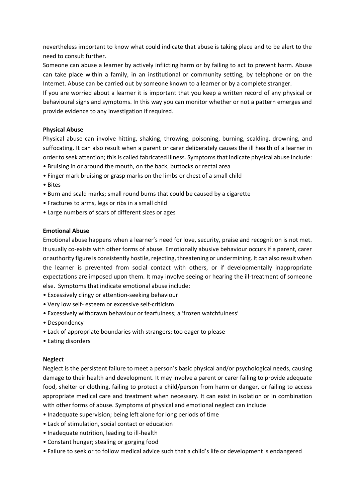nevertheless important to know what could indicate that abuse is taking place and to be alert to the need to consult further.

Someone can abuse a learner by actively inflicting harm or by failing to act to prevent harm. Abuse can take place within a family, in an institutional or community setting, by telephone or on the Internet. Abuse can be carried out by someone known to a learner or by a complete stranger.

If you are worried about a learner it is important that you keep a written record of any physical or behavioural signs and symptoms. In this way you can monitor whether or not a pattern emerges and provide evidence to any investigation if required.

## **Physical Abuse**

Physical abuse can involve hitting, shaking, throwing, poisoning, burning, scalding, drowning, and suffocating. It can also result when a parent or carer deliberately causes the ill health of a learner in order to seek attention; this is called fabricated illness. Symptoms that indicate physical abuse include:

- Bruising in or around the mouth, on the back, buttocks or rectal area
- Finger mark bruising or grasp marks on the limbs or chest of a small child
- Bites
- Burn and scald marks; small round burns that could be caused by a cigarette
- Fractures to arms, legs or ribs in a small child
- Large numbers of scars of different sizes or ages

#### **Emotional Abuse**

Emotional abuse happens when a learner's need for love, security, praise and recognition is not met. It usually co-exists with other forms of abuse. Emotionally abusive behaviour occurs if a parent, carer or authority figure is consistently hostile, rejecting, threatening or undermining. It can also result when the learner is prevented from social contact with others, or if developmentally inappropriate expectations are imposed upon them. It may involve seeing or hearing the ill-treatment of someone else. Symptoms that indicate emotional abuse include:

- Excessively clingy or attention-seeking behaviour
- Very low self- esteem or excessive self-criticism
- Excessively withdrawn behaviour or fearfulness; a 'frozen watchfulness'
- Despondency
- Lack of appropriate boundaries with strangers; too eager to please
- Eating disorders

#### **Neglect**

Neglect is the persistent failure to meet a person's basic physical and/or psychological needs, causing damage to their health and development. It may involve a parent or carer failing to provide adequate food, shelter or clothing, failing to protect a child/person from harm or danger, or failing to access appropriate medical care and treatment when necessary. It can exist in isolation or in combination with other forms of abuse. Symptoms of physical and emotional neglect can include:

- Inadequate supervision; being left alone for long periods of time
- Lack of stimulation, social contact or education
- Inadequate nutrition, leading to ill-health
- Constant hunger; stealing or gorging food
- Failure to seek or to follow medical advice such that a child's life or development is endangered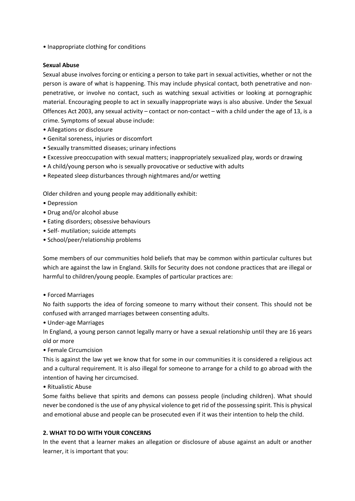• Inappropriate clothing for conditions

#### **Sexual Abuse**

Sexual abuse involves forcing or enticing a person to take part in sexual activities, whether or not the person is aware of what is happening. This may include physical contact, both penetrative and nonpenetrative, or involve no contact, such as watching sexual activities or looking at pornographic material. Encouraging people to act in sexually inappropriate ways is also abusive. Under the Sexual Offences Act 2003, any sexual activity – contact or non-contact – with a child under the age of 13, is a crime. Symptoms of sexual abuse include:

- Allegations or disclosure
- Genital soreness, injuries or discomfort
- Sexually transmitted diseases; urinary infections
- Excessive preoccupation with sexual matters; inappropriately sexualized play, words or drawing
- A child/young person who is sexually provocative or seductive with adults
- Repeated sleep disturbances through nightmares and/or wetting

Older children and young people may additionally exhibit:

- Depression
- Drug and/or alcohol abuse
- Eating disorders; obsessive behaviours
- Self- mutilation; suicide attempts
- School/peer/relationship problems

Some members of our communities hold beliefs that may be common within particular cultures but which are against the law in England. Skills for Security does not condone practices that are illegal or harmful to children/young people. Examples of particular practices are:

• Forced Marriages

No faith supports the idea of forcing someone to marry without their consent. This should not be confused with arranged marriages between consenting adults.

• Under-age Marriages

In England, a young person cannot legally marry or have a sexual relationship until they are 16 years old or more

• Female Circumcision

This is against the law yet we know that for some in our communities it is considered a religious act and a cultural requirement. It is also illegal for someone to arrange for a child to go abroad with the intention of having her circumcised.

• Ritualistic Abuse

Some faiths believe that spirits and demons can possess people (including children). What should never be condoned is the use of any physical violence to get rid of the possessing spirit. This is physical and emotional abuse and people can be prosecuted even if it was their intention to help the child.

# **2. WHAT TO DO WITH YOUR CONCERNS**

In the event that a learner makes an allegation or disclosure of abuse against an adult or another learner, it is important that you: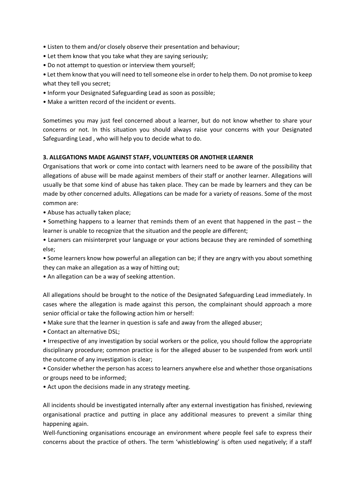- Listen to them and/or closely observe their presentation and behaviour;
- Let them know that you take what they are saying seriously;
- Do not attempt to question or interview them yourself;
- Let them know that you will need to tell someone else in order to help them. Do not promise to keep what they tell you secret;
- Inform your Designated Safeguarding Lead as soon as possible;
- Make a written record of the incident or events.

Sometimes you may just feel concerned about a learner, but do not know whether to share your concerns or not. In this situation you should always raise your concerns with your Designated Safeguarding Lead , who will help you to decide what to do.

## **3. ALLEGATIONS MADE AGAINST STAFF, VOLUNTEERS OR ANOTHER LEARNER**

Organisations that work or come into contact with learners need to be aware of the possibility that allegations of abuse will be made against members of their staff or another learner. Allegations will usually be that some kind of abuse has taken place. They can be made by learners and they can be made by other concerned adults. Allegations can be made for a variety of reasons. Some of the most common are:

• Abuse has actually taken place;

• Something happens to a learner that reminds them of an event that happened in the past – the learner is unable to recognize that the situation and the people are different;

• Learners can misinterpret your language or your actions because they are reminded of something else;

• Some learners know how powerful an allegation can be; if they are angry with you about something they can make an allegation as a way of hitting out;

• An allegation can be a way of seeking attention.

All allegations should be brought to the notice of the Designated Safeguarding Lead immediately. In cases where the allegation is made against this person, the complainant should approach a more senior official or take the following action him or herself:

• Make sure that the learner in question is safe and away from the alleged abuser;

• Contact an alternative DSL;

• Irrespective of any investigation by social workers or the police, you should follow the appropriate disciplinary procedure; common practice is for the alleged abuser to be suspended from work until the outcome of any investigation is clear;

• Consider whether the person has access to learners anywhere else and whether those organisations or groups need to be informed;

• Act upon the decisions made in any strategy meeting.

All incidents should be investigated internally after any external investigation has finished, reviewing organisational practice and putting in place any additional measures to prevent a similar thing happening again.

Well-functioning organisations encourage an environment where people feel safe to express their concerns about the practice of others. The term 'whistleblowing' is often used negatively; if a staff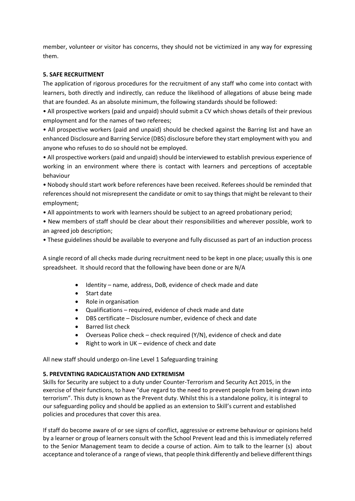member, volunteer or visitor has concerns, they should not be victimized in any way for expressing them.

# **5. SAFE RECRUITMENT**

The application of rigorous procedures for the recruitment of any staff who come into contact with learners, both directly and indirectly, can reduce the likelihood of allegations of abuse being made that are founded. As an absolute minimum, the following standards should be followed:

• All prospective workers (paid and unpaid) should submit a CV which shows details of their previous employment and for the names of two referees;

• All prospective workers (paid and unpaid) should be checked against the Barring list and have an enhanced Disclosure and Barring Service (DBS) disclosure before they start employment with you and anyone who refuses to do so should not be employed.

• All prospective workers (paid and unpaid) should be interviewed to establish previous experience of working in an environment where there is contact with learners and perceptions of acceptable behaviour

• Nobody should start work before references have been received. Referees should be reminded that references should not misrepresent the candidate or omit to say things that might be relevant to their employment;

• All appointments to work with learners should be subject to an agreed probationary period;

• New members of staff should be clear about their responsibilities and wherever possible, work to an agreed job description;

• These guidelines should be available to everyone and fully discussed as part of an induction process

A single record of all checks made during recruitment need to be kept in one place; usually this is one spreadsheet. It should record that the following have been done or are N/A

- Identity name, address, DoB, evidence of check made and date
- Start date
- Role in organisation
- Qualifications required, evidence of check made and date
- DBS certificate Disclosure number, evidence of check and date
- Barred list check
- Overseas Police check check required (Y/N), evidence of check and date
- Right to work in  $UK$  evidence of check and date

All new staff should undergo on-line Level 1 Safeguarding training

#### **5. PREVENTING RADICALISTATION AND EXTREMISM**

Skills for Security are subject to a duty under Counter-Terrorism and Security Act 2015, in the exercise of their functions, to have "due regard to the need to prevent people from being drawn into terrorism". This duty is known as the Prevent duty. Whilst this is a standalone policy, it is integral to our safeguarding policy and should be applied as an extension to Skill's current and established policies and procedures that cover this area.

If staff do become aware of or see signs of conflict, aggressive or extreme behaviour or opinions held by a learner or group of learners consult with the School Prevent lead and this is immediately referred to the Senior Management team to decide a course of action. Aim to talk to the learner (s) about acceptance and tolerance of a range of views, that people think differently and believe different things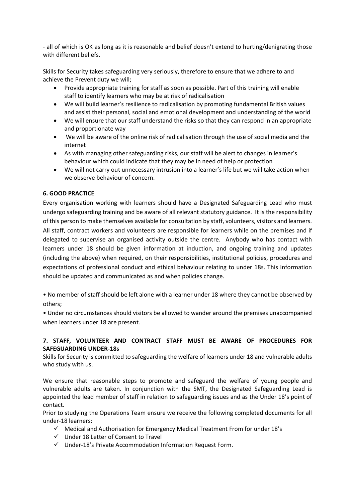- all of which is OK as long as it is reasonable and belief doesn't extend to hurting/denigrating those with different beliefs.

Skills for Security takes safeguarding very seriously, therefore to ensure that we adhere to and achieve the Prevent duty we will;

- Provide appropriate training for staff as soon as possible. Part of this training will enable staff to identify learners who may be at risk of radicalisation
- We will build learner's resilience to radicalisation by promoting fundamental British values and assist their personal, social and emotional development and understanding of the world
- We will ensure that our staff understand the risks so that they can respond in an appropriate and proportionate way
- We will be aware of the online risk of radicalisation through the use of social media and the internet
- As with managing other safeguarding risks, our staff will be alert to changes in learner's behaviour which could indicate that they may be in need of help or protection
- We will not carry out unnecessary intrusion into a learner's life but we will take action when we observe behaviour of concern.

# **6. GOOD PRACTICE**

Every organisation working with learners should have a Designated Safeguarding Lead who must undergo safeguarding training and be aware of all relevant statutory guidance. It is the responsibility of this person to make themselves available for consultation by staff, volunteers, visitors and learners. All staff, contract workers and volunteers are responsible for learners while on the premises and if delegated to supervise an organised activity outside the centre. Anybody who has contact with learners under 18 should be given information at induction, and ongoing training and updates (including the above) when required, on their responsibilities, institutional policies, procedures and expectations of professional conduct and ethical behaviour relating to under 18s. This information should be updated and communicated as and when policies change.

• No member of staff should be left alone with a learner under 18 where they cannot be observed by others;

• Under no circumstances should visitors be allowed to wander around the premises unaccompanied when learners under 18 are present.

## **7. STAFF, VOLUNTEER AND CONTRACT STAFF MUST BE AWARE OF PROCEDURES FOR SAFEGUARDING UNDER-18s**

Skills for Security is committed to safeguarding the welfare of learners under 18 and vulnerable adults who study with us.

We ensure that reasonable steps to promote and safeguard the welfare of young people and vulnerable adults are taken. In conjunction with the SMT, the Designated Safeguarding Lead is appointed the lead member of staff in relation to safeguarding issues and as the Under 18's point of contact.

Prior to studying the Operations Team ensure we receive the following completed documents for all under-18 learners:

- $\checkmark$  Medical and Authorisation for Emergency Medical Treatment From for under 18's
- $\checkmark$  Under 18 Letter of Consent to Travel
- $\checkmark$  Under-18's Private Accommodation Information Request Form.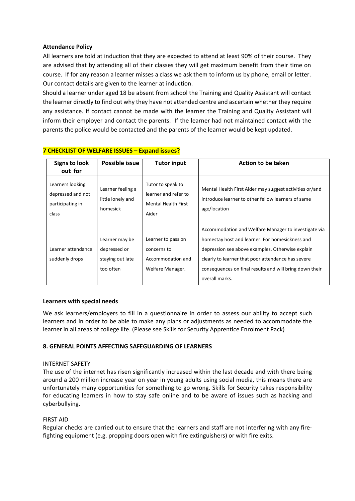#### **Attendance Policy**

All learners are told at induction that they are expected to attend at least 90% of their course. They are advised that by attending all of their classes they will get maximum benefit from their time on course. If for any reason a learner misses a class we ask them to inform us by phone, email or letter. Our contact details are given to the learner at induction.

Should a learner under aged 18 be absent from school the Training and Quality Assistant will contact the learner directly to find out why they have not attended centre and ascertain whether they require any assistance. If contact cannot be made with the learner the Training and Quality Assistant will inform their employer and contact the parents. If the learner had not maintained contact with the parents the police would be contacted and the parents of the learner would be kept updated.

| <b>Signs to look</b><br>out for                                    | Possible issue                                     | <b>Tutor input</b>                                                               | Action to be taken                                                                                                            |
|--------------------------------------------------------------------|----------------------------------------------------|----------------------------------------------------------------------------------|-------------------------------------------------------------------------------------------------------------------------------|
| Learners looking<br>depressed and not<br>participating in<br>class | Learner feeling a<br>little lonely and<br>homesick | Tutor to speak to<br>learner and refer to<br><b>Mental Health First</b><br>Aider | Mental Health First Aider may suggest activities or/and<br>introduce learner to other fellow learners of same<br>age/location |
|                                                                    |                                                    |                                                                                  | Accommodation and Welfare Manager to investigate via                                                                          |
|                                                                    | Learner may be                                     | Learner to pass on                                                               | homestay host and learner. For homesickness and                                                                               |
| Learner attendance                                                 | depressed or                                       | concerns to                                                                      | depression see above examples. Otherwise explain                                                                              |
| suddenly drops                                                     | staying out late                                   | Accommodation and                                                                | clearly to learner that poor attendance has severe                                                                            |
|                                                                    | too often                                          | Welfare Manager.                                                                 | consequences on final results and will bring down their                                                                       |
|                                                                    |                                                    |                                                                                  | overall marks.                                                                                                                |

## **7 CHECKLIST OF WELFARE ISSUES – Expand issues?**

#### **Learners with special needs**

We ask learners/employers to fill in a questionnaire in order to assess our ability to accept such learners and in order to be able to make any plans or adjustments as needed to accommodate the learner in all areas of college life. (Please see Skills for Security Apprentice Enrolment Pack)

#### **8. GENERAL POINTS AFFECTING SAFEGUARDING OF LEARNERS**

#### INTERNET SAFETY

The use of the internet has risen significantly increased within the last decade and with there being around a 200 million increase year on year in young adults using social media, this means there are unfortunately many opportunities for something to go wrong. Skills for Security takes responsibility for educating learners in how to stay safe online and to be aware of issues such as hacking and cyberbullying.

#### FIRST AID

Regular checks are carried out to ensure that the learners and staff are not interfering with any firefighting equipment (e.g. propping doors open with fire extinguishers) or with fire exits.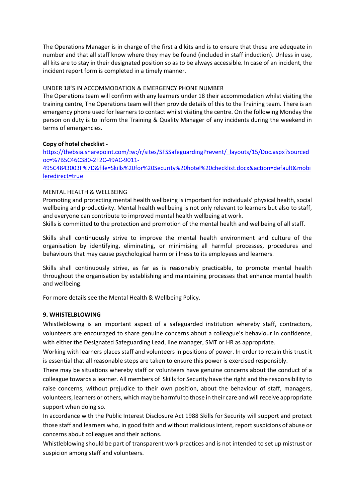The Operations Manager is in charge of the first aid kits and is to ensure that these are adequate in number and that all staff know where they may be found (included in staff induction). Unless in use, all kits are to stay in their designated position so as to be always accessible. In case of an incident, the incident report form is completed in a timely manner.

#### UNDER 18'S IN ACCOMMODATION & EMERGENCY PHONE NUMBER

The Operations team will confirm with any learners under 18 their accommodation whilst visiting the training centre, The Operations team will then provide details of this to the Training team. There is an emergency phone used for learners to contact whilst visiting the centre. On the following Monday the person on duty is to inform the Training & Quality Manager of any incidents during the weekend in terms of emergencies.

#### **Copy of hotel checklist -**

[https://thebsia.sharepoint.com/:w:/r/sites/SFSSafeguardingPrevent/\\_layouts/15/Doc.aspx?sourced](https://thebsia.sharepoint.com/:w:/s/SFSSafeguardingPrevent/EYDDRlwsL6xJkBFJXEhDAD8BYWAXMoU3I7_d5o2SmfTQaw) [oc=%7B5C46C380-2F2C-49AC-9011-](https://thebsia.sharepoint.com/:w:/s/SFSSafeguardingPrevent/EYDDRlwsL6xJkBFJXEhDAD8BYWAXMoU3I7_d5o2SmfTQaw)

[495C4843003F%7D&file=Skills%20for%20Security%20hotel%20checklist.docx&action=default&mobi](https://thebsia.sharepoint.com/:w:/s/SFSSafeguardingPrevent/EYDDRlwsL6xJkBFJXEhDAD8BYWAXMoU3I7_d5o2SmfTQaw) [leredirect=true](https://thebsia.sharepoint.com/:w:/s/SFSSafeguardingPrevent/EYDDRlwsL6xJkBFJXEhDAD8BYWAXMoU3I7_d5o2SmfTQaw)

#### MENTAL HEALTH & WELLBEING

Promoting and protecting mental health wellbeing is important for individuals' physical health, social wellbeing and productivity. Mental health wellbeing is not only relevant to learners but also to staff, and everyone can contribute to improved mental health wellbeing at work.

Skills is committed to the protection and promotion of the mental health and wellbeing of all staff.

Skills shall continuously strive to improve the mental health environment and culture of the organisation by identifying, eliminating, or minimising all harmful processes, procedures and behaviours that may cause psychological harm or illness to its employees and learners.

Skills shall continuously strive, as far as is reasonably practicable, to promote mental health throughout the organisation by establishing and maintaining processes that enhance mental health and wellbeing.

For more details see the Mental Health & Wellbeing Policy.

#### **9. WHISTELBLOWING**

Whistleblowing is an important aspect of a safeguarded institution whereby staff, contractors, volunteers are encouraged to share genuine concerns about a colleague's behaviour in confidence, with either the Designated Safeguarding Lead, line manager, SMT or HR as appropriate.

Working with learners places staff and volunteers in positions of power. In order to retain this trust it is essential that all reasonable steps are taken to ensure this power is exercised responsibly.

There may be situations whereby staff or volunteers have genuine concerns about the conduct of a colleague towards a learner. All members of Skills for Security have the right and the responsibility to raise concerns, without prejudice to their own position, about the behaviour of staff, managers, volunteers, learners or others, which may be harmful to those in their care and will receive appropriate support when doing so.

In accordance with the Public Interest Disclosure Act 1988 Skills for Security will support and protect those staff and learners who, in good faith and without malicious intent, report suspicions of abuse or concerns about colleagues and their actions.

Whistleblowing should be part of transparent work practices and is not intended to set up mistrust or suspicion among staff and volunteers.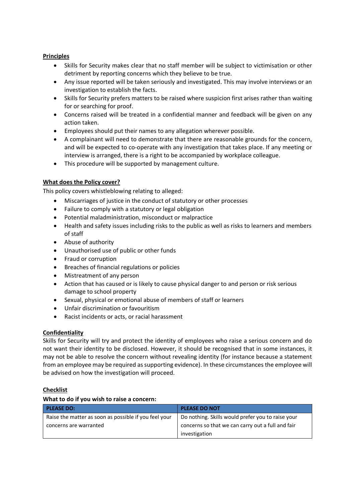# **Principles**

- Skills for Security makes clear that no staff member will be subject to victimisation or other detriment by reporting concerns which they believe to be true.
- Any issue reported will be taken seriously and investigated. This may involve interviews or an investigation to establish the facts.
- Skills for Security prefers matters to be raised where suspicion first arises rather than waiting for or searching for proof.
- Concerns raised will be treated in a confidential manner and feedback will be given on any action taken.
- Employees should put their names to any allegation wherever possible.
- A complainant will need to demonstrate that there are reasonable grounds for the concern, and will be expected to co-operate with any investigation that takes place. If any meeting or interview is arranged, there is a right to be accompanied by workplace colleague.
- This procedure will be supported by management culture.

# **What does the Policy cover?**

This policy covers whistleblowing relating to alleged:

- Miscarriages of justice in the conduct of statutory or other processes
- Failure to comply with a statutory or legal obligation
- Potential maladministration, misconduct or malpractice
- Health and safety issues including risks to the public as well as risks to learners and members of staff
- Abuse of authority
- Unauthorised use of public or other funds
- Fraud or corruption
- Breaches of financial regulations or policies
- Mistreatment of any person
- Action that has caused or is likely to cause physical danger to and person or risk serious damage to school property
- Sexual, physical or emotional abuse of members of staff or learners
- Unfair discrimination or favouritism
- Racist incidents or acts, or racial harassment

#### **Confidentiality**

Skills for Security will try and protect the identity of employees who raise a serious concern and do not want their identity to be disclosed. However, it should be recognised that in some instances, it may not be able to resolve the concern without revealing identity (for instance because a statement from an employee may be required as supporting evidence). In these circumstances the employee will be advised on how the investigation will proceed.

#### **Checklist**

#### **What to do if you wish to raise a concern:**

| <b>PLEASE DO:</b>                                     | <b>PLEASE DO NOT</b>                              |
|-------------------------------------------------------|---------------------------------------------------|
| Raise the matter as soon as possible if you feel your | Do nothing. Skills would prefer you to raise your |
| concerns are warranted                                | concerns so that we can carry out a full and fair |
|                                                       | investigation                                     |